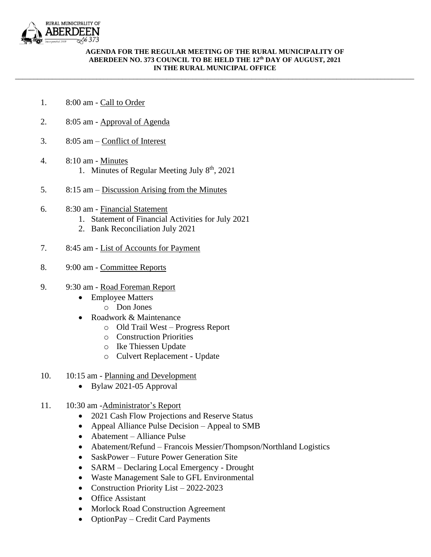

## **AGENDA FOR THE REGULAR MEETING OF THE RURAL MUNICIPALITY OF ABERDEEN NO. 373 COUNCIL TO BE HELD THE 12 th DAY OF AUGUST, 2021 IN THE RURAL MUNICIPAL OFFICE**

\_\_\_\_\_\_\_\_\_\_\_\_\_\_\_\_\_\_\_\_\_\_\_\_\_\_\_\_\_\_\_\_\_\_\_\_\_\_\_\_\_\_\_\_\_\_\_\_\_\_\_\_\_\_\_\_\_\_\_\_\_\_\_\_\_\_\_\_\_\_\_\_\_\_\_\_\_\_\_\_\_\_\_\_\_\_\_\_\_\_\_\_\_\_\_\_\_\_\_\_\_\_\_\_\_\_\_\_

- 1. 8:00 am Call to Order
- 2. 8:05 am Approval of Agenda
- 3. 8:05 am Conflict of Interest
- 4. 8:10 am Minutes 1. Minutes of Regular Meeting July 8<sup>th</sup>, 2021
- 5. 8:15 am Discussion Arising from the Minutes
- 6. 8:30 am Financial Statement
	- 1. Statement of Financial Activities for July 2021
	- 2. Bank Reconciliation July 2021
- 7. 8:45 am List of Accounts for Payment
- 8. 9:00 am Committee Reports
- 9. 9:30 am Road Foreman Report
	- Employee Matters
		- o Don Jones
	- Roadwork & Maintenance
		- o Old Trail West Progress Report
		- o Construction Priorities
		- o Ike Thiessen Update
		- o Culvert Replacement Update
- 10. 10:15 am Planning and Development
	- Bylaw 2021-05 Approval
- 11. 10:30 am -Administrator's Report
	- 2021 Cash Flow Projections and Reserve Status
	- Appeal Alliance Pulse Decision Appeal to SMB
	- Abatement Alliance Pulse
	- Abatement/Refund Francois Messier/Thompson/Northland Logistics
	- SaskPower Future Power Generation Site
	- SARM Declaring Local Emergency Drought
	- Waste Management Sale to GFL Environmental
	- Construction Priority List 2022-2023
	- Office Assistant
	- Morlock Road Construction Agreement
	- OptionPay Credit Card Payments